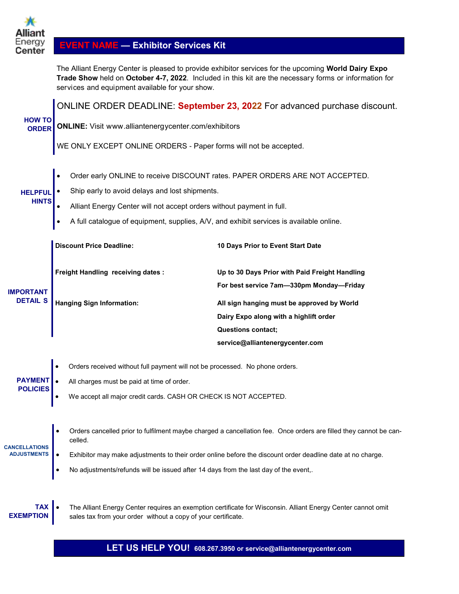

# **EVENT NAME — Exhibitor Services Kit**

The Alliant Energy Center is pleased to provide exhibitor services for the upcoming **World Dairy Expo Trade Show** held on **October 4-7, 2022**. Included in this kit are the necessary forms or information for services and equipment available for your show.

**ONLINE ORDER DEADLINE: September 23, 2022** For advanced purchase discount.

| <b>HOW TO</b>                       | $C = C$                                                                                                                      |                                                                                                              |  |  |  |  |  |  |
|-------------------------------------|------------------------------------------------------------------------------------------------------------------------------|--------------------------------------------------------------------------------------------------------------|--|--|--|--|--|--|
| <b>ORDER</b>                        | <b>ONLINE:</b> Visit www.alliantenergycenter.com/exhibitors                                                                  |                                                                                                              |  |  |  |  |  |  |
|                                     | WE ONLY EXCEPT ONLINE ORDERS - Paper forms will not be accepted.                                                             |                                                                                                              |  |  |  |  |  |  |
|                                     |                                                                                                                              |                                                                                                              |  |  |  |  |  |  |
|                                     |                                                                                                                              | Order early ONLINE to receive DISCOUNT rates. PAPER ORDERS ARE NOT ACCEPTED.                                 |  |  |  |  |  |  |
| <b>HELPFUL</b>                      | Ship early to avoid delays and lost shipments.                                                                               |                                                                                                              |  |  |  |  |  |  |
| <b>HINTS</b>                        | Alliant Energy Center will not accept orders without payment in full.                                                        |                                                                                                              |  |  |  |  |  |  |
|                                     | A full catalogue of equipment, supplies, A/V, and exhibit services is available online.<br>$\bullet$                         |                                                                                                              |  |  |  |  |  |  |
|                                     | <b>Discount Price Deadline:</b>                                                                                              | 10 Days Prior to Event Start Date                                                                            |  |  |  |  |  |  |
| <b>IMPORTANT</b><br><b>DETAIL S</b> | <b>Freight Handling receiving dates:</b>                                                                                     | Up to 30 Days Prior with Paid Freight Handling                                                               |  |  |  |  |  |  |
|                                     |                                                                                                                              | For best service 7am-330pm Monday-Friday                                                                     |  |  |  |  |  |  |
|                                     | <b>Hanging Sign Information:</b>                                                                                             | All sign hanging must be approved by World                                                                   |  |  |  |  |  |  |
|                                     |                                                                                                                              | Dairy Expo along with a highlift order                                                                       |  |  |  |  |  |  |
|                                     |                                                                                                                              | <b>Questions contact;</b>                                                                                    |  |  |  |  |  |  |
|                                     |                                                                                                                              | service@alliantenergycenter.com                                                                              |  |  |  |  |  |  |
|                                     | Orders received without full payment will not be processed. No phone orders.                                                 |                                                                                                              |  |  |  |  |  |  |
| <b>PAYMENT</b>                      | All charges must be paid at time of order.                                                                                   |                                                                                                              |  |  |  |  |  |  |
| <b>POLICIES</b>                     | We accept all major credit cards. CASH OR CHECK IS NOT ACCEPTED.                                                             |                                                                                                              |  |  |  |  |  |  |
|                                     |                                                                                                                              |                                                                                                              |  |  |  |  |  |  |
| <b>CANCELLATIONS</b>                | Orders cancelled prior to fulfilment maybe charged a cancellation fee. Once orders are filled they cannot be can-<br>celled. |                                                                                                              |  |  |  |  |  |  |
| <b>ADJUSTMENTS</b>                  | Exhibitor may make adjustments to their order online before the discount order deadline date at no charge.                   |                                                                                                              |  |  |  |  |  |  |
|                                     | No adjustments/refunds will be issued after 14 days from the last day of the event,.<br>$\bullet$                            |                                                                                                              |  |  |  |  |  |  |
|                                     |                                                                                                                              |                                                                                                              |  |  |  |  |  |  |
| <b>TAX</b><br><b>EXEMPTION</b>      | $\bullet$<br>sales tax from your order without a copy of your certificate.                                                   | The Alliant Energy Center requires an exemption certificate for Wisconsin. Alliant Energy Center cannot omit |  |  |  |  |  |  |

**LET US HELP YOU! 608.267.3950 or service@alliantenergycenter.com**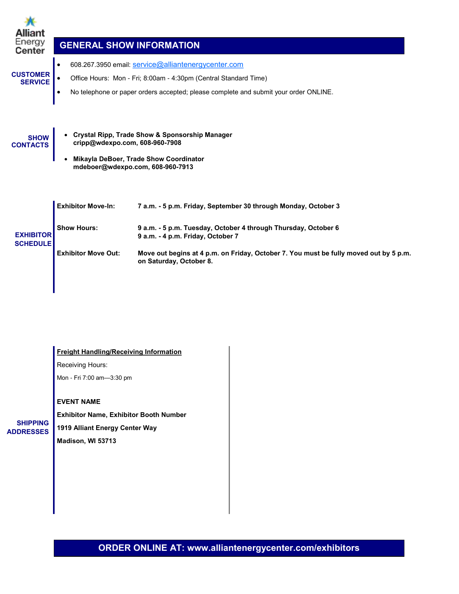| Alliant<br>Energy<br>Center         | <b>GENERAL SHOW INFORMATION</b>                                               |                                                                                                                                                                                                                                                                                           |
|-------------------------------------|-------------------------------------------------------------------------------|-------------------------------------------------------------------------------------------------------------------------------------------------------------------------------------------------------------------------------------------------------------------------------------------|
| <b>CUSTOMER</b><br><b>SERVICE</b>   | $\bullet$<br>$\bullet$                                                        | 608.267.3950 email: service@alliantenergycenter.com<br>Office Hours: Mon - Fri; 8:00am - 4:30pm (Central Standard Time)<br>No telephone or paper orders accepted; please complete and submit your order ONLINE.                                                                           |
| <b>SHOW</b><br><b>CONTACTS</b>      | cripp@wdexpo.com, 608-960-7908                                                | <b>Crystal Ripp, Trade Show &amp; Sponsorship Manager</b><br>Mikayla DeBoer, Trade Show Coordinator<br>mdeboer@wdexpo.com, 608-960-7913                                                                                                                                                   |
| <b>EXHIBITOR</b><br><b>SCHEDULE</b> | <b>Exhibitor Move-In:</b><br><b>Show Hours:</b><br><b>Exhibitor Move Out:</b> | 7 a.m. - 5 p.m. Friday, September 30 through Monday, October 3<br>9 a.m. - 5 p.m. Tuesday, October 4 through Thursday, October 6<br>9 a.m. - 4 p.m. Friday, October 7<br>Move out begins at 4 p.m. on Friday, October 7. You must be fully moved out by 5 p.m.<br>on Saturday, October 8. |

| <b>Freight Handling/Receiving Information</b> |  |
|-----------------------------------------------|--|
|-----------------------------------------------|--|

Receiving Hours:

Mon - Fri 7:00 am—3:30 pm

### **EVENT NAME**

**SHIPPING ADDRESSES**

**Exhibitor Name, Exhibitor Booth Number 1919 Alliant Energy Center Way Madison, WI 53713**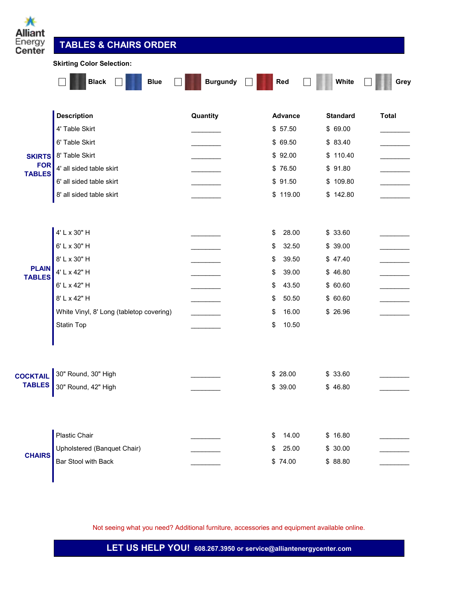| Ж<br><b>Alliant</b><br>:nergy<br>Center | <b>TABLES &amp; CHAIRS ORDER</b><br><b>Skirting Color Selection:</b> |                 |                |                 |              |  |  |
|-----------------------------------------|----------------------------------------------------------------------|-----------------|----------------|-----------------|--------------|--|--|
|                                         | <b>Black</b><br><b>Blue</b>                                          | <b>Burgundy</b> | Red            | White           | Grey         |  |  |
|                                         | <b>Description</b>                                                   | Quantity        | <b>Advance</b> | <b>Standard</b> | <b>Total</b> |  |  |
|                                         | 4' Table Skirt                                                       |                 | \$57.50        | \$69.00         |              |  |  |
|                                         | 6' Table Skirt                                                       |                 | \$69.50        | \$83.40         |              |  |  |
| <b>SKIRTS</b>                           | 8' Table Skirt                                                       |                 | \$92.00        | \$110.40        |              |  |  |
| <b>FOR</b><br><b>TABLES</b>             | 4' all sided table skirt                                             |                 | \$76.50        | \$91.80         |              |  |  |
|                                         | 6' all sided table skirt                                             |                 | \$91.50        | \$109.80        |              |  |  |
|                                         | 8' all sided table skirt                                             |                 | \$119.00       | \$142.80        |              |  |  |
|                                         | 4' L x 30" H                                                         |                 | 28.00<br>\$    | \$33.60         |              |  |  |
|                                         | 6' L x 30" H                                                         |                 | 32.50<br>\$    | \$39.00         |              |  |  |
|                                         | 8' L x 30" H                                                         |                 | \$<br>39.50    | \$47.40         |              |  |  |
| <b>PLAIN</b><br><b>TABLES</b>           | 4' L x 42" H                                                         |                 | \$<br>39.00    | \$46.80         |              |  |  |
|                                         | 6' L x 42" H                                                         |                 | 43.50<br>\$    | \$60.60         |              |  |  |
|                                         | 8' L x 42" H                                                         |                 | 50.50<br>\$    | \$60.60         |              |  |  |
|                                         | White Vinyl, 8' Long (tabletop covering)                             |                 | 16.00<br>\$    | \$26.96         |              |  |  |
|                                         | <b>Statin Top</b>                                                    |                 | 10.50<br>\$    |                 |              |  |  |
|                                         |                                                                      |                 |                |                 |              |  |  |
| <b>COCKTAIL</b>                         | 30" Round, 30" High                                                  |                 | \$28.00        | \$33.60         |              |  |  |
| <b>TABLES</b>                           | 30" Round, 42" High                                                  |                 | \$39.00        | \$46.80         |              |  |  |
|                                         |                                                                      |                 |                |                 |              |  |  |
|                                         | Plastic Chair                                                        |                 | 14.00<br>\$    | \$16.80         |              |  |  |
| <b>CHAIRS</b>                           | Upholstered (Banquet Chair)                                          |                 | 25.00<br>\$    | \$30.00         |              |  |  |
|                                         | Bar Stool with Back                                                  |                 | \$74.00        | \$88.80         |              |  |  |

**SA** 

Not seeing what you need? Additional furniture, accessories and equipment available online.

**LET US HELP YOU! 608.267.3950 or service@alliantenergycenter.com**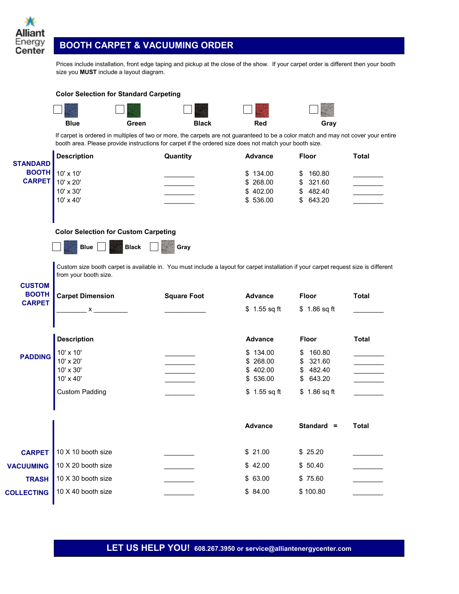

┓ 542

# **BOOTH CARPET & VACUUMING ORDER**

**Color Selection for Standard Carpeting** 

 $\Box$ 

544

Prices include installation, front edge taping and pickup at the close of the show. If your carpet order is different then your booth size you **MUST** include a layout diagram.

> **TI** 5759

一、母子

**The Second State** 

|                         |                                                                    |              |                                                                               | ALC: NO                                                        |                                                                                                                                                                                                                                                                                                                                                                                                                                                                |
|-------------------------|--------------------------------------------------------------------|--------------|-------------------------------------------------------------------------------|----------------------------------------------------------------|----------------------------------------------------------------------------------------------------------------------------------------------------------------------------------------------------------------------------------------------------------------------------------------------------------------------------------------------------------------------------------------------------------------------------------------------------------------|
| <b>Blue</b>             | Green                                                              | <b>Black</b> | Red                                                                           | Gray                                                           |                                                                                                                                                                                                                                                                                                                                                                                                                                                                |
|                         |                                                                    |              |                                                                               |                                                                |                                                                                                                                                                                                                                                                                                                                                                                                                                                                |
| <b>Description</b>      |                                                                    |              | <b>Advance</b>                                                                | <b>Floor</b>                                                   | <b>Total</b>                                                                                                                                                                                                                                                                                                                                                                                                                                                   |
|                         |                                                                    |              |                                                                               |                                                                |                                                                                                                                                                                                                                                                                                                                                                                                                                                                |
|                         |                                                                    |              |                                                                               |                                                                |                                                                                                                                                                                                                                                                                                                                                                                                                                                                |
|                         |                                                                    |              |                                                                               |                                                                |                                                                                                                                                                                                                                                                                                                                                                                                                                                                |
| 10' x 40'               |                                                                    |              | \$536.00                                                                      | 643.20<br>\$                                                   |                                                                                                                                                                                                                                                                                                                                                                                                                                                                |
|                         |                                                                    |              |                                                                               |                                                                |                                                                                                                                                                                                                                                                                                                                                                                                                                                                |
|                         |                                                                    |              |                                                                               |                                                                |                                                                                                                                                                                                                                                                                                                                                                                                                                                                |
| <b>Blue</b>             | <b>Black</b>                                                       | Gray         |                                                                               |                                                                |                                                                                                                                                                                                                                                                                                                                                                                                                                                                |
|                         |                                                                    |              |                                                                               |                                                                |                                                                                                                                                                                                                                                                                                                                                                                                                                                                |
| from your booth size.   |                                                                    |              |                                                                               |                                                                |                                                                                                                                                                                                                                                                                                                                                                                                                                                                |
|                         |                                                                    |              |                                                                               |                                                                |                                                                                                                                                                                                                                                                                                                                                                                                                                                                |
| <b>Carpet Dimension</b> |                                                                    |              | <b>Advance</b>                                                                | <b>Floor</b>                                                   | <b>Total</b>                                                                                                                                                                                                                                                                                                                                                                                                                                                   |
|                         |                                                                    |              |                                                                               |                                                                |                                                                                                                                                                                                                                                                                                                                                                                                                                                                |
|                         |                                                                    |              |                                                                               |                                                                |                                                                                                                                                                                                                                                                                                                                                                                                                                                                |
| <b>Description</b>      |                                                                    |              | <b>Advance</b>                                                                | <b>Floor</b>                                                   | <b>Total</b>                                                                                                                                                                                                                                                                                                                                                                                                                                                   |
|                         |                                                                    |              | \$134.00                                                                      | 160.80<br>\$                                                   |                                                                                                                                                                                                                                                                                                                                                                                                                                                                |
| 10' x 20'               |                                                                    |              | \$268.00                                                                      | \$<br>321.60                                                   |                                                                                                                                                                                                                                                                                                                                                                                                                                                                |
| 10' x 30'               |                                                                    |              | \$402.00                                                                      | \$482.40                                                       |                                                                                                                                                                                                                                                                                                                                                                                                                                                                |
|                         |                                                                    |              |                                                                               | \$                                                             |                                                                                                                                                                                                                                                                                                                                                                                                                                                                |
| <b>Custom Padding</b>   |                                                                    |              | $$1.55$ sq ft                                                                 | \$1.86 sq ft                                                   |                                                                                                                                                                                                                                                                                                                                                                                                                                                                |
|                         |                                                                    |              |                                                                               |                                                                |                                                                                                                                                                                                                                                                                                                                                                                                                                                                |
|                         |                                                                    |              | <b>Advance</b>                                                                | Standard $=$                                                   | <b>Total</b>                                                                                                                                                                                                                                                                                                                                                                                                                                                   |
| 10 X 10 booth size      |                                                                    |              | \$21.00                                                                       | \$25.20                                                        |                                                                                                                                                                                                                                                                                                                                                                                                                                                                |
| 10 X 20 booth size      |                                                                    |              | \$42.00                                                                       | \$50.40                                                        |                                                                                                                                                                                                                                                                                                                                                                                                                                                                |
| 10 X 30 booth size      |                                                                    |              | \$63.00                                                                       | \$75.60                                                        |                                                                                                                                                                                                                                                                                                                                                                                                                                                                |
|                         |                                                                    |              |                                                                               |                                                                |                                                                                                                                                                                                                                                                                                                                                                                                                                                                |
| <b>BOOTH</b>            | 10' x 10'<br>10' x 20'<br>10' x 30'<br>х<br>10' x 10'<br>10' x 40' |              | Quantity<br><b>Color Selection for Custom Carpeting</b><br><b>Square Foot</b> | \$134.00<br>\$ 268.00<br>\$402.00<br>$$1.55$ sq ft<br>\$536.00 | If carpet is ordered in multiples of two or more, the carpets are not guaranteed to be a color match and may not cover your entire<br>booth area. Please provide instructions for carpet if the ordered size does not match your booth size.<br>160.80<br>\$<br>321.60<br>\$<br>482.40<br>\$<br>Custom size booth carpet is available in. You must include a layout for carpet installation if your carpet request size is different<br>\$1.86 sq ft<br>643.20 |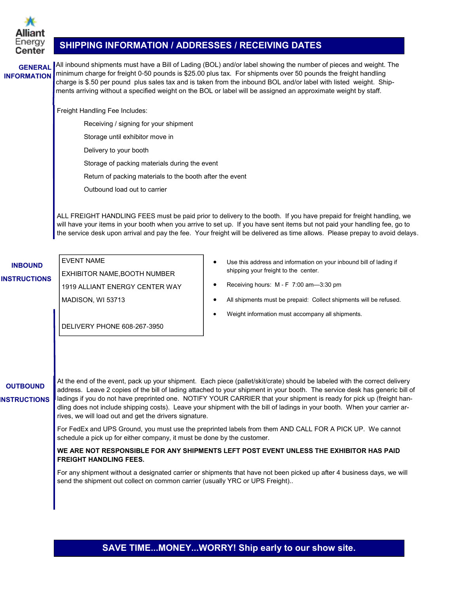

### **SHIPPING INFORMATION / ADDRESSES / RECEIVING DATES**

**GENERAL INFORMATION**

All inbound shipments must have a Bill of Lading (BOL) and/or label showing the number of pieces and weight. The minimum charge for freight 0-50 pounds is \$25.00 plus tax. For shipments over 50 pounds the freight handling charge is \$.50 per pound plus sales tax and is taken from the inbound BOL and/or label with listed weight. Shipments arriving without a specified weight on the BOL or label will be assigned an approximate weight by staff.

Freight Handling Fee Includes:

- Receiving / signing for your shipment
- Storage until exhibitor move in
- Delivery to your booth
- Storage of packing materials during the event
- Return of packing materials to the booth after the event
- Outbound load out to carrier

ALL FREIGHT HANDLING FEES must be paid prior to delivery to the booth. If you have prepaid for freight handling, we will have your items in your booth when you arrive to set up. If you have sent items but not paid your handling fee, go to the service desk upon arrival and pay the fee. Your freight will be delivered as time allows. Please prepay to avoid delays.

# **INBOUND**

**INSTRUCTIONS** EXHIBITOR NAME,BOOTH NUMBER 1919 ALLIANT ENERGY CENTER WAY MADISON, WI 53713

DELIVERY PHONE 608-267-3950

EVENT NAME

- Use this address and information on your inbound bill of lading if shipping your freight to the center.
- Receiving hours: M F 7:00 am—3:30 pm
- All shipments must be prepaid: Collect shipments will be refused.
- Weight information must accompany all shipments.

**OUTBOUND INSTRUCTIONS** At the end of the event, pack up your shipment. Each piece (pallet/skit/crate) should be labeled with the correct delivery address. Leave 2 copies of the bill of lading attached to your shipment in your booth. The service desk has generic bill of ladings if you do not have preprinted one. NOTIFY YOUR CARRIER that your shipment is ready for pick up (freight handling does not include shipping costs). Leave your shipment with the bill of ladings in your booth. When your carrier arrives, we will load out and get the drivers signature.

> For FedEx and UPS Ground, you must use the preprinted labels from them AND CALL FOR A PICK UP. We cannot schedule a pick up for either company, it must be done by the customer.

#### **WE ARE NOT RESPONSIBLE FOR ANY SHIPMENTS LEFT POST EVENT UNLESS THE EXHIBITOR HAS PAID FREIGHT HANDLING FEES.**

For any shipment without a designated carrier or shipments that have not been picked up after 4 business days, we will send the shipment out collect on common carrier (usually YRC or UPS Freight)..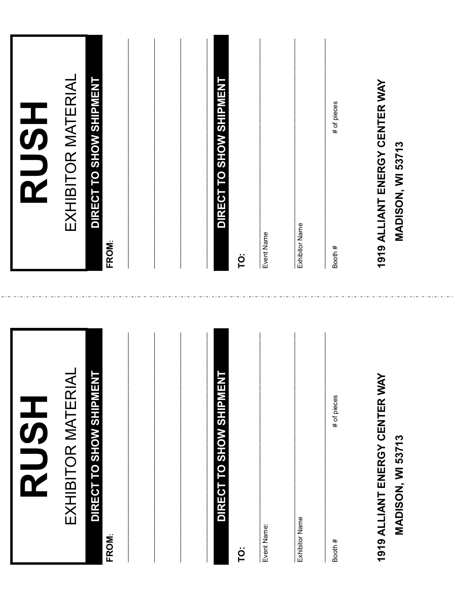| HSLI<br>SUS                                                | <b>HSDR</b>                                                |
|------------------------------------------------------------|------------------------------------------------------------|
| EXHIBITOR MATERIAL                                         | EXHIBITOR MATERIAL                                         |
| DIRECT TO SHOW SHIPMENT<br>FROM:                           | DIRECT TO SHOW SHIPMENT<br>FROM:                           |
|                                                            |                                                            |
| DIRECT TO SHOW SHIPMENT                                    | DIRECT TO SHOW SHIPMENT                                    |
| ë                                                          | ë                                                          |
| Event Name:                                                | Event Name                                                 |
| Exhibitor Name                                             | Exhibitor Name                                             |
| # of pieces<br>Booth #                                     | # of pieces<br>Booth #                                     |
| 1919 ALLIANT ENERGY CENTER WAY<br><b>MADISON, WI 53713</b> | 1919 ALLIANT ENERGY CENTER WAY<br><b>MADISON, WI 53713</b> |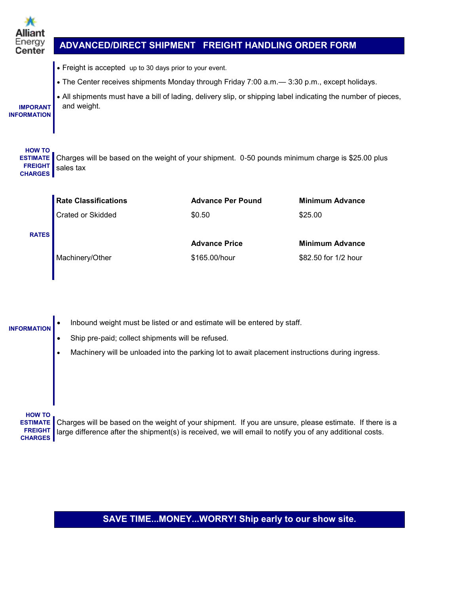| Energy<br>Center                                                     | ADVANCED/DIRECT SHIPMENT FREIGHT HANDLING ORDER FORM                                                                                                                                                                                                                                      |                                       |                                                |
|----------------------------------------------------------------------|-------------------------------------------------------------------------------------------------------------------------------------------------------------------------------------------------------------------------------------------------------------------------------------------|---------------------------------------|------------------------------------------------|
| <b>IMPORANT</b><br><b>INFORMATION</b>                                | • Freight is accepted up to 30 days prior to your event.<br>• The Center receives shipments Monday through Friday 7:00 a.m. - 3:30 p.m., except holidays.<br>. All shipments must have a bill of lading, delivery slip, or shipping label indicating the number of pieces,<br>and weight. |                                       |                                                |
| <b>HOW TO</b><br><b>ESTIMATE</b><br><b>FREIGHT</b><br><b>CHARGES</b> | Charges will be based on the weight of your shipment. 0-50 pounds minimum charge is \$25.00 plus<br>sales tax                                                                                                                                                                             |                                       |                                                |
|                                                                      | <b>Rate Classifications</b>                                                                                                                                                                                                                                                               | <b>Advance Per Pound</b>              | <b>Minimum Advance</b>                         |
|                                                                      | Crated or Skidded                                                                                                                                                                                                                                                                         | \$0.50                                | \$25.00                                        |
| <b>RATES</b>                                                         | Machinery/Other                                                                                                                                                                                                                                                                           | <b>Advance Price</b><br>\$165.00/hour | <b>Minimum Advance</b><br>\$82.50 for 1/2 hour |
| <b>INFORMATION</b>                                                   | Inbound weight must be listed or and estimate will be entered by staff.<br>Ship pre-paid; collect shipments will be refused.<br>Machinery will be unloaded into the parking lot to await placement instructions during ingress.                                                           |                                       |                                                |

**HOW TO**

**ESTIMATE** Charges will be based on the weight of your shipment. If you are unsure, please estimate. If there is a **FREIGHT** large difference after the shipment(s) is received, we will email to notify you of any additional costs. **CHARGES**

# **SAVE TIME...MONEY...WORRY! Ship early to our show site.**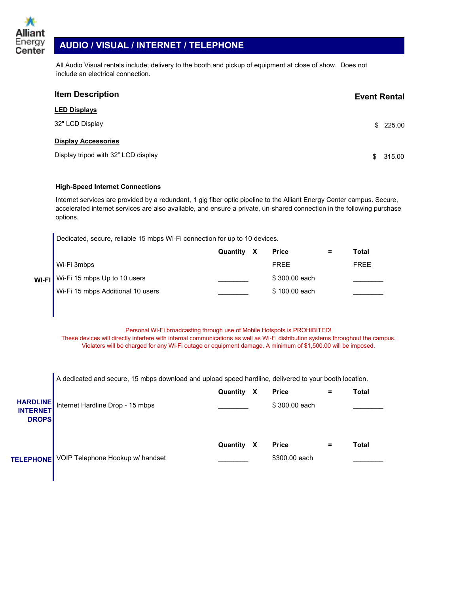

I

# **AUDIO / VISUAL / INTERNET / TELEPHONE**

All Audio Visual rentals include; delivery to the booth and pickup of equipment at close of show. Does not include an electrical connection.

| <b>Item Description</b>             |    | <b>Event Rental</b> |
|-------------------------------------|----|---------------------|
| <b>LED Displays</b>                 |    |                     |
| 32" LCD Display                     |    | \$225.00            |
| <b>Display Accessories</b>          |    |                     |
| Display tripod with 32" LCD display | £. | 315.00              |

#### **High-Speed Internet Connections**

Internet services are provided by a redundant, 1 gig fiber optic pipeline to the Alliant Energy Center campus. Secure, accelerated internet services are also available, and ensure a private, un-shared connection in the following purchase options.

Dedicated, secure, reliable 15 mbps Wi-Fi connection for up to 10 devices.

|                                    | Quantity X | <b>Price</b>  | = | Total |
|------------------------------------|------------|---------------|---|-------|
| $\blacksquare$ Wi-Fi 3mbps         |            | <b>FRFF</b>   |   | FREE  |
| WI-FI Wi-Fi 15 mbps Up to 10 users |            | \$300,00 each |   |       |
| Wi-Fi 15 mbps Additional 10 users  |            | \$100.00 each |   |       |

#### Personal Wi-Fi broadcasting through use of Mobile Hotspots is PROHIBITED!

These devices will directly interfere with internal communications as well as Wi-Fi distribution systems throughout the campus. Violators will be charged for any Wi-Fi outage or equipment damage. A minimum of \$1,500.00 will be imposed.

| <b>HARDLINE</b><br><b>INTERNET</b><br><b>DROPS</b> | A dedicated and secure, 15 mbps download and upload speed hardline, delivered to your booth location.<br>Internet Hardline Drop - 15 mbps | Quantity | х | <b>Price</b><br>\$300.00 each |   | Total |
|----------------------------------------------------|-------------------------------------------------------------------------------------------------------------------------------------------|----------|---|-------------------------------|---|-------|
| <b>TELEPHONE</b>                                   | VOIP Telephone Hookup w/ handset                                                                                                          | Quantity | X | <b>Price</b><br>\$300,00 each | = | Total |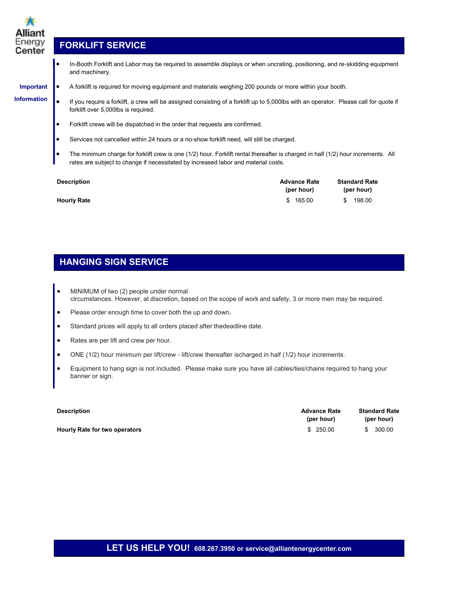

# **FORKLIFT SERVICE**

 In-Booth Forklift and Labor may be required to assemble displays or when uncrating, positioning, and re-skidding equipment and machinery.

### **Important**

**Information**

A forklift is required for moving equipment and materials weighing 200 pounds or more within your booth.

- If you require a forklift, a crew will be assigned consisting of a forklift up to 5,000lbs with an operator. Please call for quote if forklift over 5,000lbs is required.
- Forklift crews will be dispatched in the order that requests are confirmed.
- Services not cancelled within 24 hours or a no-show forklift need, will still be charged.
- The minimum charge for forklift crew is one (1/2) hour. Forklift rental thereafter is charged in half (1/2) hour increments. All rates are subject to change if necessitated by increased labor and material costs.

| <b>Description</b> | <b>Advance Rate</b><br>(per hour) | <b>Standard Rate</b><br>(per hour) |
|--------------------|-----------------------------------|------------------------------------|
| <b>Hourly Rate</b> | \$165.00                          | 198.00<br>S.                       |

# **HANGING SIGN SERVICE**

- MINIMUM of two (2) people under normal circumstances. However, at discretion, based on the scope of work and safety, 3 or more men may be required.
- Please order enough time to cover both the up and down.
- Standard prices will apply to all orders placed after the deadline date.
- Rates are per lift and crew per hour.
- ONE (1/2) hour minimum per lift/crew lift/crew thereafter is charged in half (1/2) hour increments.
- Equipment to hang sign is not included. Please make sure you have all cables/ties/chains required to hang your banner or sign.

| <b>Description</b>            | <b>Advance Rate</b><br>(per hour) | <b>Standard Rate</b><br>(per hour) |
|-------------------------------|-----------------------------------|------------------------------------|
| Hourly Rate for two operators | \$ 250.00                         | 300.00                             |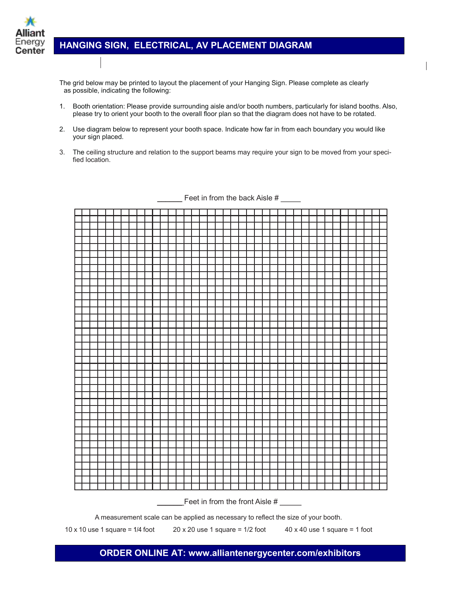

## **HANGING SIGN, ELECTRICAL, AV PLACEMENT DIAGRAM**

The grid below may be printed to layout the placement of your Hanging Sign. Please complete as clearly as possible, indicating the following:

- 1. Booth orientation: Please provide surrounding aisle and/or booth numbers, particularly for island booths. Also, please try to orient your booth to the overall floor plan so that the diagram does not have to be rotated.
- 2. Use diagram below to represent your booth space. Indicate how far in from each boundary you would like your sign placed.
- 3. The ceiling structure and relation to the support beams may require your sign to be moved from your specified location.



Feet in from the back Aisle  $#_$ 

A measurement scale can be applied as necessary to reflect the size of your booth.

10 x 10 use 1 square =  $1/4$  foot 20 x 20 use 1 square =  $1/2$  foot 40 x 40 use 1 square = 1 foot

### **ORDER ONLINE AT: www.alliantenergycenter.com/exhibitors**